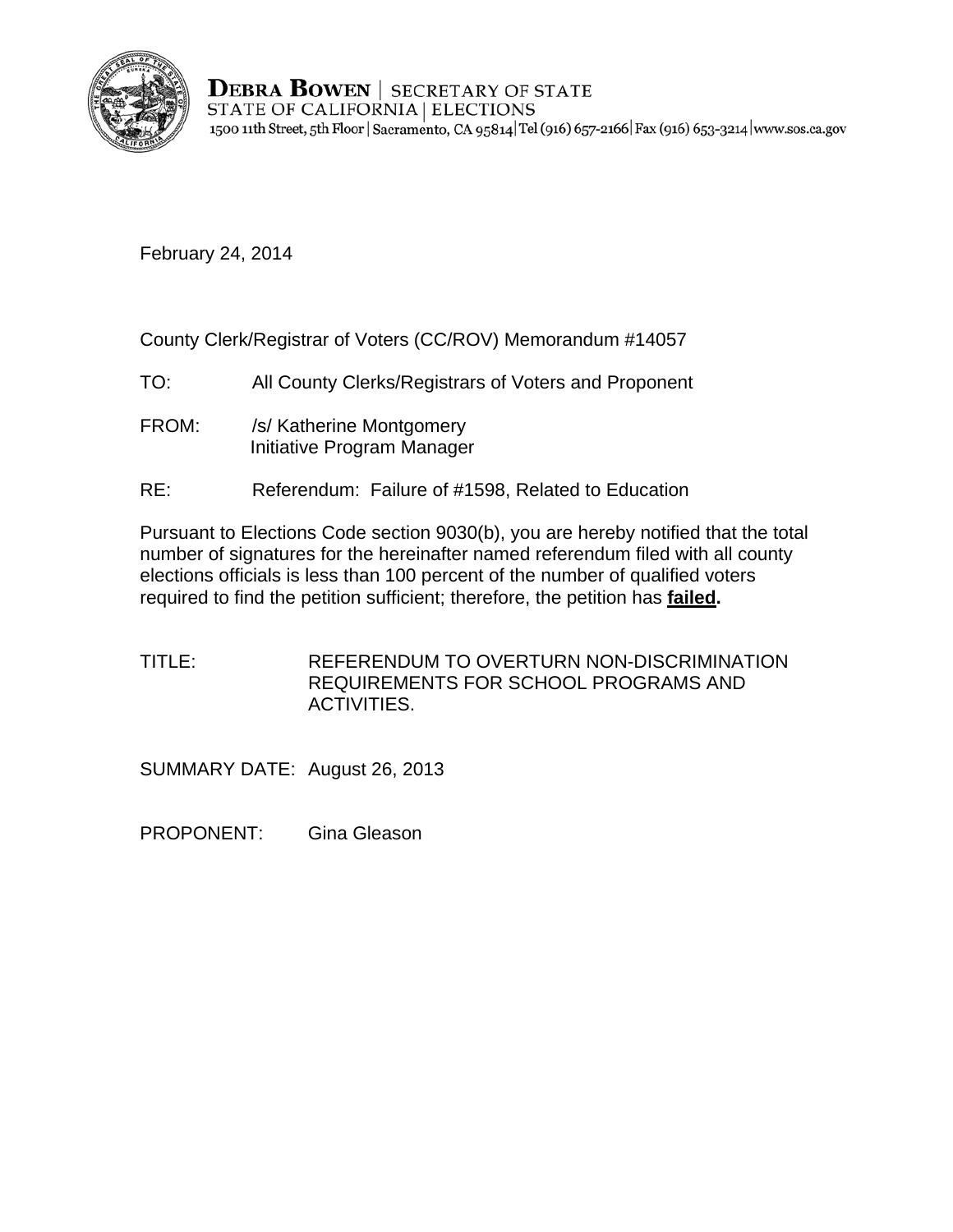

**DEBRA BOWEN | SECRETARY OF STATE** STATE OF CALIFORNIA | ELECTIONS 1500 11th Street, 5th Floor | Sacramento, CA 95814 Tel (916) 657-2166 | Fax (916) 653-3214 | www.sos.ca.gov

February 24, 2014

County Clerk/Registrar of Voters (CC/ROV) Memorandum #14057

- TO: All County Clerks/Registrars of Voters and Proponent
- FROM: /s/ Katherine Montgomery Initiative Program Manager
- RE: Referendum: Failure of #1598, Related to Education

Pursuant to Elections Code section 9030(b), you are hereby notified that the total number of signatures for the hereinafter named referendum filed with all county elections officials is less than 100 percent of the number of qualified voters required to find the petition sufficient; therefore, the petition has **failed.** 

TITLE: REFERENDUM TO OVERTURN NON-DISCRIMINATION REQUIREMENTS FOR SCHOOL PROGRAMS AND ACTIVITIES.

SUMMARY DATE: August 26, 2013

PROPONENT: Gina Gleason